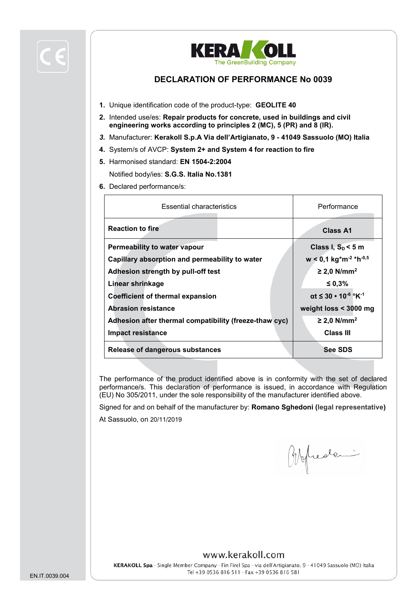



## **DECLARATION OF PERFORMANCE No 0039**

- **1.** Unique identification code of the product-type: **GEOLITE 40**
- **2.** Intended use/es: **Repair products for concrete, used in buildings and civil engineering works according to principles 2 (MC), 5 (PR) and 8 (IR).**
- *3.* Manufacturer: **Kerakoll S.p.A Via dell'Artigianato, 9 - 41049 Sassuolo (MO) Italia**
- **4.** System/s of AVCP: **System 2+ and System 4 for reaction to fire**
- **5.** Harmonised standard: **EN 1504-2:2004**

Notified body/ies: **S.G.S. Italia No.1381**

**6.** Declared performance/s:

| <b>Essential characteristics</b>                       | Performance                                                  |  |
|--------------------------------------------------------|--------------------------------------------------------------|--|
| <b>Reaction to fire</b>                                | <b>Class A1</b>                                              |  |
| Permeability to water vapour                           | Class I, $S_D < 5$ m                                         |  |
| Capillary absorption and permeability to water         | $w < 0.1$ kg <sup>*</sup> m <sup>-2</sup> *h <sup>-0,5</sup> |  |
| Adhesion strength by pull-off test                     | $\geq$ 2,0 N/mm <sup>2</sup>                                 |  |
| Linear shrinkage                                       | ≤ 0,3%                                                       |  |
| <b>Coefficient of thermal expansion</b>                | $\alpha t \leq 30 \cdot 10^{-6}$ °K <sup>-1</sup>            |  |
| <b>Abrasion resistance</b>                             | weight loss < 3000 mg                                        |  |
| Adhesion after thermal compatibility (freeze-thaw cyc) | $\geq$ 2,0 N/mm <sup>2</sup>                                 |  |
| Impact resistance                                      | Class III                                                    |  |
| <b>Release of dangerous substances</b>                 | <b>See SDS</b>                                               |  |

The performance of the product identified above is in conformity with the set of declared performance/s. This declaration of performance is issued, in accordance with Regulation (EU) No 305/2011, under the sole responsibility of the manufacturer identified above.

Signed for and on behalf of the manufacturer by: **Romano Sghedoni (legal representative)**

At Sassuolo, on 20/11/2019

Obelieve

## www.kerakoll.com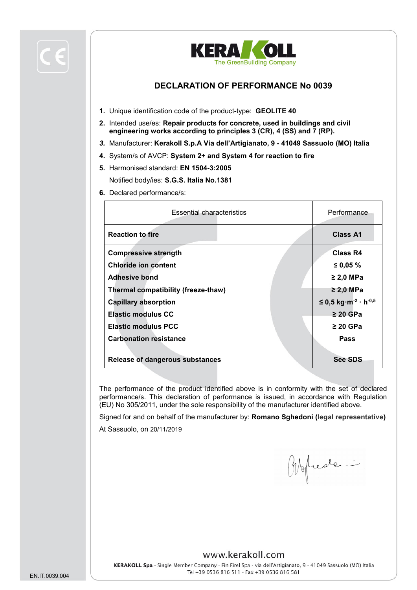



## **DECLARATION OF PERFORMANCE No 0039**

- **1.** Unique identification code of the product-type: **GEOLITE 40**
- **2.** Intended use/es: **Repair products for concrete, used in buildings and civil engineering works according to principles 3 (CR), 4 (SS) and 7 (RP).**
- *3.* Manufacturer: **Kerakoll S.p.A Via dell'Artigianato, 9 - 41049 Sassuolo (MO) Italia**
- **4.** System/s of AVCP: **System 2+ and System 4 for reaction to fire**
- **5.** Harmonised standard: **EN 1504-3:2005**

Notified body/ies: **S.G.S. Italia No.1381**

**6.** Declared performance/s:

| <b>Essential characteristics</b>       | Performance                                    |
|----------------------------------------|------------------------------------------------|
| <b>Reaction to fire</b>                | Class A1                                       |
| <b>Compressive strength</b>            | Class R4                                       |
| <b>Chloride ion content</b>            | ≤ 0,05 $%$                                     |
| <b>Adhesive bond</b>                   | $\geq$ 2,0 MPa                                 |
| Thermal compatibility (freeze-thaw)    | $\geq$ 2,0 MPa                                 |
| <b>Capillary absorption</b>            | $≤ 0,5$ kg⋅m <sup>-2</sup> ⋅ h <sup>-0,5</sup> |
| <b>Elastic modulus CC</b>              | $\geq 20$ GPa                                  |
| <b>Elastic modulus PCC</b>             | $\geq$ 20 GPa                                  |
| <b>Carbonation resistance</b>          | <b>Pass</b>                                    |
| <b>Release of dangerous substances</b> | <b>See SDS</b>                                 |

The performance of the product identified above is in conformity with the set of declared performance/s. This declaration of performance is issued, in accordance with Regulation (EU) No 305/2011, under the sole responsibility of the manufacturer identified above.

Signed for and on behalf of the manufacturer by: **Romano Sghedoni (legal representative)**

At Sassuolo, on 20/11/2019

Abelieve

#### www.kerakoll.com

KERAKOLL Spa - Single Member Company - Fin Firel Spa - via dell'Artigianato. 9 - 41049 Sassuolo (MO) Italia Tel +39 0536 816 511 - Fax +39 0536 816 581